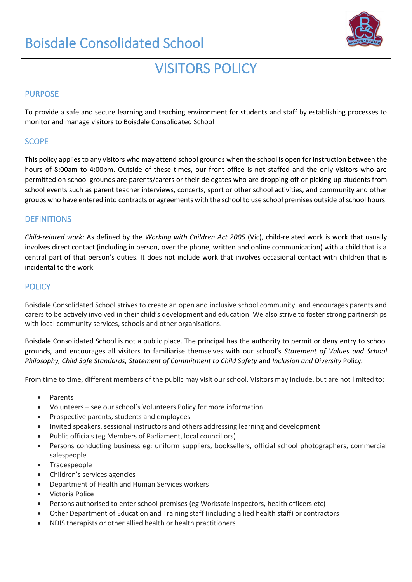# Boisdale Consolidated School



# VISITORS POLICY

## PURPOSE

To provide a safe and secure learning and teaching environment for students and staff by establishing processes to monitor and manage visitors to Boisdale Consolidated School

### **SCOPE**

This policy applies to any visitors who may attend school grounds when the school is open for instruction between the hours of 8:00am to 4:00pm. Outside of these times, our front office is not staffed and the only visitors who are permitted on school grounds are parents/carers or their delegates who are dropping off or picking up students from school events such as parent teacher interviews, concerts, sport or other school activities, and community and other groups who have entered into contracts or agreements with the school to use school premises outside of school hours.

## **DEFINITIONS**

*Child-related work*: As defined by the *Working with Children Act 2005* (Vic), child-related work is work that usually involves direct contact (including in person, over the phone, written and online communication) with a child that is a central part of that person's duties. It does not include work that involves occasional contact with children that is incidental to the work.

### **POLICY**

Boisdale Consolidated School strives to create an open and inclusive school community, and encourages parents and carers to be actively involved in their child's development and education. We also strive to foster strong partnerships with local community services, schools and other organisations.

Boisdale Consolidated School is not a public place. The principal has the authority to permit or deny entry to school grounds, and encourages all visitors to familiarise themselves with our school's *Statement of Values and School Philosophy, Child Safe Standards, Statement of Commitment to Child Safety* and *Inclusion and Diversity* Policy*.* 

From time to time, different members of the public may visit our school. Visitors may include, but are not limited to:

- Parents
- Volunteers see our school's Volunteers Policy for more information
- Prospective parents, students and employees
- Invited speakers, sessional instructors and others addressing learning and development
- Public officials (eg Members of Parliament, local councillors)
- Persons conducting business eg: uniform suppliers, booksellers, official school photographers, commercial salespeople
- Tradespeople
- Children's services agencies
- Department of Health and Human Services workers
- Victoria Police
- Persons authorised to enter school premises (eg Worksafe inspectors, health officers etc)
- Other Department of Education and Training staff (including allied health staff) or contractors
- NDIS therapists or other allied health or health practitioners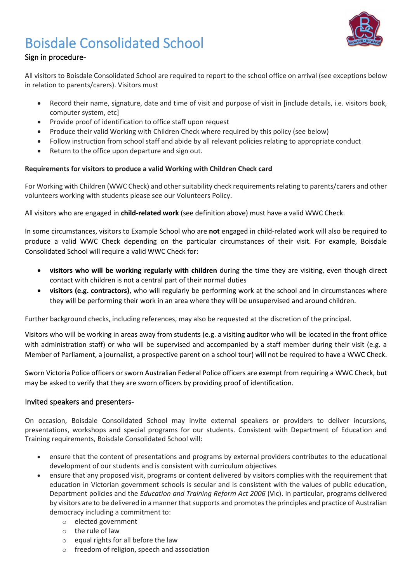

# Boisdale Consolidated School

# Sign in procedure-

All visitors to Boisdale Consolidated School are required to report to the school office on arrival (see exceptions below in relation to parents/carers). Visitors must

- Record their name, signature, date and time of visit and purpose of visit in [include details, i.e. visitors book, computer system, etc]
- Provide proof of identification to office staff upon request
- Produce their valid Working with Children Check where required by this policy (see below)
- Follow instruction from school staff and abide by all relevant policies relating to appropriate conduct
- Return to the office upon departure and sign out.

## **Requirements for visitors to produce a valid Working with Children Check card**

For Working with Children (WWC Check) and other suitability check requirements relating to parents/carers and other volunteers working with students please see our Volunteers Policy.

All visitors who are engaged in **child-related work** (see definition above) must have a valid WWC Check.

In some circumstances, visitors to Example School who are **not** engaged in child-related work will also be required to produce a valid WWC Check depending on the particular circumstances of their visit. For example, Boisdale Consolidated School will require a valid WWC Check for:

- **visitors who will be working regularly with children** during the time they are visiting, even though direct contact with children is not a central part of their normal duties
- **visitors (e.g. contractors)**, who will regularly be performing work at the school and in circumstances where they will be performing their work in an area where they will be unsupervised and around children.

Further background checks, including references, may also be requested at the discretion of the principal.

Visitors who will be working in areas away from students (e.g. a visiting auditor who will be located in the front office with administration staff) or who will be supervised and accompanied by a staff member during their visit (e.g. a Member of Parliament, a journalist, a prospective parent on a school tour) will not be required to have a WWC Check.

Sworn Victoria Police officers or sworn Australian Federal Police officers are exempt from requiring a WWC Check, but may be asked to verify that they are sworn officers by providing proof of identification.

## Invited speakers and presenters-

On occasion, Boisdale Consolidated School may invite external speakers or providers to deliver incursions, presentations, workshops and special programs for our students. Consistent with Department of Education and Training requirements, Boisdale Consolidated School will:

- ensure that the content of presentations and programs by external providers contributes to the educational development of our students and is consistent with curriculum objectives
- ensure that any proposed visit, programs or content delivered by visitors complies with the requirement that education in Victorian government schools is secular and is consistent with the values of public education, Department policies and the *Education and Training Reform Act 2006* (Vic). In particular, programs delivered by visitors are to be delivered in a manner that supports and promotes the principles and practice of Australian democracy including a commitment to:
	- o elected government
	- o the rule of law
	- o equal rights for all before the law
	- o freedom of religion, speech and association